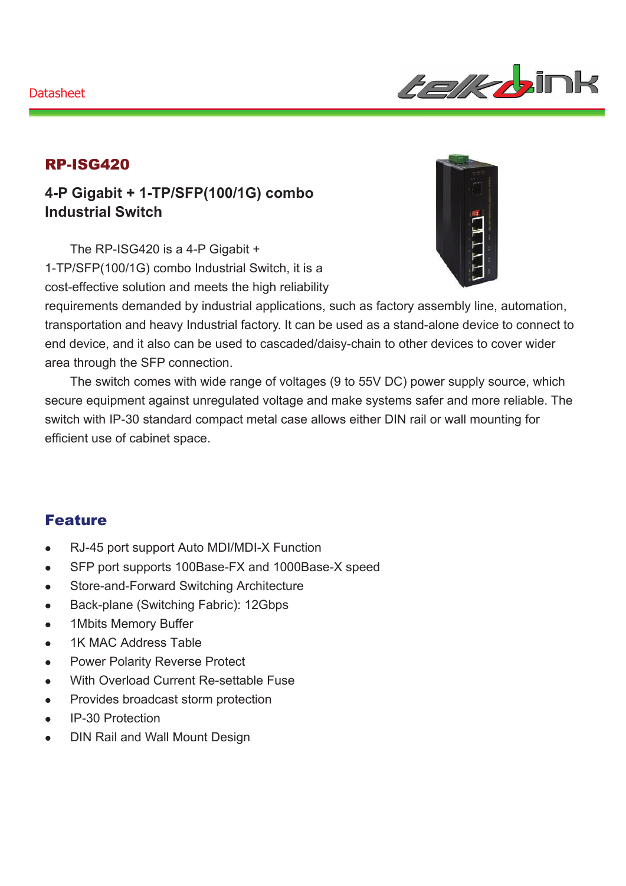

#### RP-ISG420

**4-P Gigabit + 1-TP/SFP(100/1G) combo Industrial Switch** 

The RP-ISG420 is a 4-P Gigabit + 1-TP/SFP(100/1G) combo Industrial Switch, it is a cost-effective solution and meets the high reliability



requirements demanded by industrial applications, such as factory assembly line, automation, transportation and heavy Industrial factory. It can be used as a stand-alone device to connect to end device, and it also can be used to cascaded/daisy-chain to other devices to cover wider area through the SFP connection.

The switch comes with wide range of voltages (9 to 55V DC) power supply source, which secure equipment against unregulated voltage and make systems safer and more reliable. The switch with IP-30 standard compact metal case allows either DIN rail or wall mounting for efficient use of cabinet space.

## Feature

- RJ-45 port support Auto MDI/MDI-X Function
- SFP port supports 100Base-FX and 1000Base-X speed
- Store-and-Forward Switching Architecture
- Back-plane (Switching Fabric): 12Gbps
- 1Mbits Memory Buffer
- 1K MAC Address Table
- Power Polarity Reverse Protect
- With Overload Current Re-settable Fuse
- Provides broadcast storm protection
- IP-30 Protection
- DIN Rail and Wall Mount Design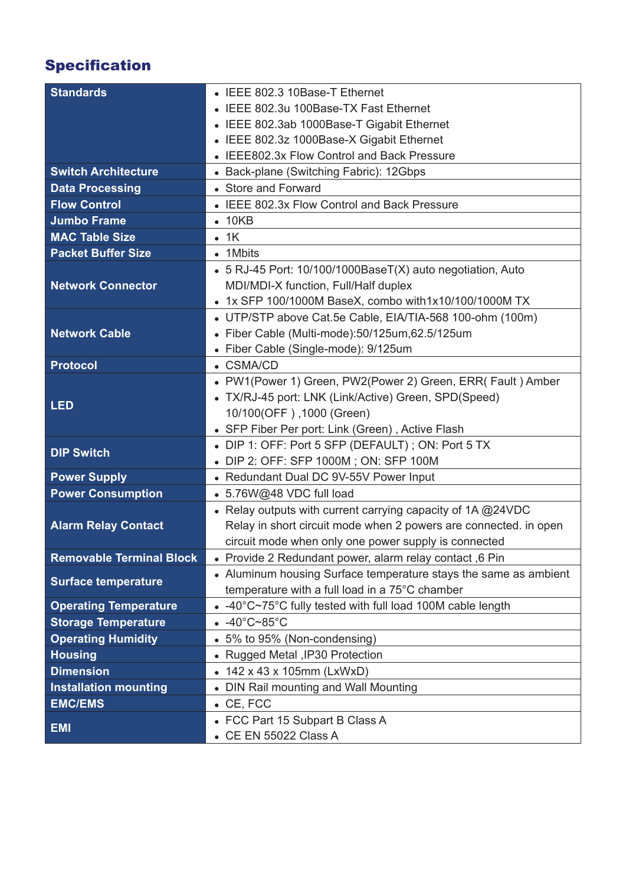# Specification

| <b>Standards</b>                | • IEEE 802.3 10Base-T Ethernet                                   |
|---------------------------------|------------------------------------------------------------------|
|                                 | IEEE 802.3u 100Base-TX Fast Ethernet                             |
|                                 | • IEEE 802.3ab 1000Base-T Gigabit Ethernet                       |
|                                 | IEEE 802.3z 1000Base-X Gigabit Ethernet                          |
|                                 | • IEEE802.3x Flow Control and Back Pressure                      |
| <b>Switch Architecture</b>      | • Back-plane (Switching Fabric): 12Gbps                          |
| <b>Data Processing</b>          | • Store and Forward                                              |
| <b>Flow Control</b>             | • IEEE 802.3x Flow Control and Back Pressure                     |
| <b>Jumbo Frame</b>              | $\bullet$ 10KB                                                   |
| <b>MAC Table Size</b>           | $\bullet$ 1K                                                     |
| <b>Packet Buffer Size</b>       | • 1Mbits                                                         |
|                                 | • 5 RJ-45 Port: 10/100/1000BaseT(X) auto negotiation, Auto       |
| <b>Network Connector</b>        | MDI/MDI-X function, Full/Half duplex                             |
|                                 | • 1x SFP 100/1000M BaseX, combo with1x10/100/1000M TX            |
|                                 | • UTP/STP above Cat.5e Cable, EIA/TIA-568 100-ohm (100m)         |
| <b>Network Cable</b>            | · Fiber Cable (Multi-mode):50/125um,62.5/125um                   |
|                                 | • Fiber Cable (Single-mode): 9/125um                             |
| <b>Protocol</b>                 | • CSMA/CD                                                        |
| <b>LED</b>                      | • PW1(Power 1) Green, PW2(Power 2) Green, ERR( Fault ) Amber     |
|                                 | • TX/RJ-45 port: LNK (Link/Active) Green, SPD(Speed)             |
|                                 | 10/100(OFF), 1000 (Green)                                        |
|                                 | • SFP Fiber Per port: Link (Green), Active Flash                 |
| <b>DIP Switch</b>               | • DIP 1: OFF: Port 5 SFP (DEFAULT); ON: Port 5 TX                |
|                                 | DIP 2: OFF: SFP 1000M; ON: SFP 100M                              |
| <b>Power Supply</b>             | • Redundant Dual DC 9V-55V Power Input                           |
| <b>Power Consumption</b>        | • 5.76W@48 VDC full load                                         |
|                                 | • Relay outputs with current carrying capacity of 1A @24VDC      |
| <b>Alarm Relay Contact</b>      | Relay in short circuit mode when 2 powers are connected. in open |
|                                 | circuit mode when only one power supply is connected             |
| <b>Removable Terminal Block</b> | • Provide 2 Redundant power, alarm relay contact, 6 Pin          |
| <b>Surface temperature</b>      | • Aluminum housing Surface temperature stays the same as ambient |
|                                 | temperature with a full load in a 75°C chamber                   |
| <b>Operating Temperature</b>    | • -40°C~75°C fully tested with full load 100M cable length       |
| <b>Storage Temperature</b>      | $-40^{\circ}$ C~85 $^{\circ}$ C                                  |
| <b>Operating Humidity</b>       | • 5% to 95% (Non-condensing)                                     |
| <b>Housing</b>                  | • Rugged Metal , IP30 Protection                                 |
| <b>Dimension</b>                | • 142 x 43 x 105mm (LxWxD)                                       |
| <b>Installation mounting</b>    | • DIN Rail mounting and Wall Mounting                            |
| <b>EMC/EMS</b>                  | $\bullet$ CE, FCC                                                |
| <b>EMI</b>                      | • FCC Part 15 Subpart B Class A                                  |
|                                 | • CE EN 55022 Class A                                            |